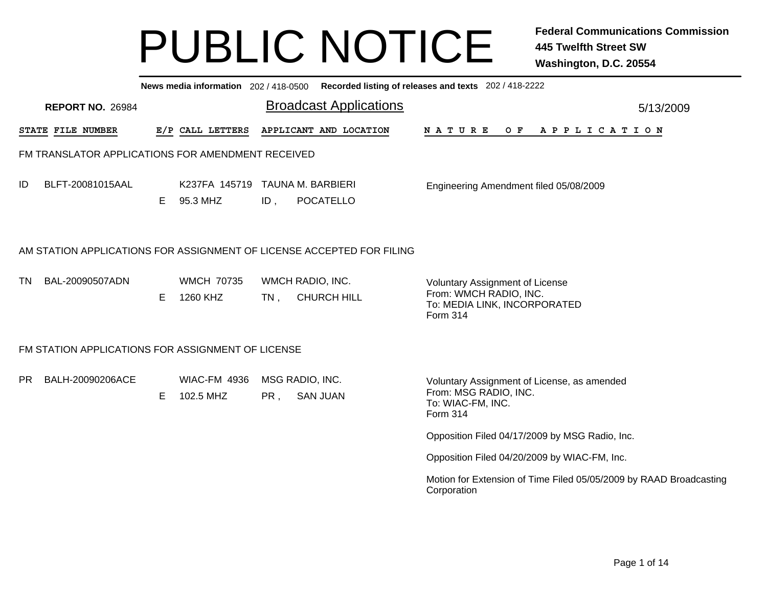|                                                                       | News media information 202/418-0500 Recorded listing of releases and texts 202/418-2222 |    |                                             |        |                                        |                                                                                                                     |  |  |  |  |  |  |  |
|-----------------------------------------------------------------------|-----------------------------------------------------------------------------------------|----|---------------------------------------------|--------|----------------------------------------|---------------------------------------------------------------------------------------------------------------------|--|--|--|--|--|--|--|
| <b>Broadcast Applications</b><br><b>REPORT NO. 26984</b><br>5/13/2009 |                                                                                         |    |                                             |        |                                        |                                                                                                                     |  |  |  |  |  |  |  |
|                                                                       | <b>STATE FILE NUMBER</b>                                                                |    | E/P CALL LETTERS                            |        | APPLICANT AND LOCATION                 | OF APPLICATION<br>N A T U R E                                                                                       |  |  |  |  |  |  |  |
|                                                                       | FM TRANSLATOR APPLICATIONS FOR AMENDMENT RECEIVED                                       |    |                                             |        |                                        |                                                                                                                     |  |  |  |  |  |  |  |
| ID                                                                    | BLFT-20081015AAL                                                                        | E. | K237FA 145719 TAUNA M. BARBIERI<br>95.3 MHZ | ID,    | <b>POCATELLO</b>                       | Engineering Amendment filed 05/08/2009                                                                              |  |  |  |  |  |  |  |
|                                                                       | AM STATION APPLICATIONS FOR ASSIGNMENT OF LICENSE ACCEPTED FOR FILING                   |    |                                             |        |                                        |                                                                                                                     |  |  |  |  |  |  |  |
| TN                                                                    | BAL-20090507ADN                                                                         | E. | <b>WMCH 70735</b><br>1260 KHZ               | $TN$ , | WMCH RADIO, INC.<br><b>CHURCH HILL</b> | <b>Voluntary Assignment of License</b><br>From: WMCH RADIO, INC.<br>To: MEDIA LINK, INCORPORATED<br><b>Form 314</b> |  |  |  |  |  |  |  |
|                                                                       | FM STATION APPLICATIONS FOR ASSIGNMENT OF LICENSE                                       |    |                                             |        |                                        |                                                                                                                     |  |  |  |  |  |  |  |
| PR                                                                    | BALH-20090206ACE                                                                        | E  | <b>WIAC-FM 4936</b><br>102.5 MHZ            | PR,    | MSG RADIO, INC.<br><b>SAN JUAN</b>     | Voluntary Assignment of License, as amended<br>From: MSG RADIO, INC.<br>To: WIAC-FM, INC.<br><b>Form 314</b>        |  |  |  |  |  |  |  |
|                                                                       |                                                                                         |    |                                             |        |                                        | Opposition Filed 04/17/2009 by MSG Radio, Inc.                                                                      |  |  |  |  |  |  |  |
|                                                                       |                                                                                         |    |                                             |        |                                        | Opposition Filed 04/20/2009 by WIAC-FM, Inc.                                                                        |  |  |  |  |  |  |  |
|                                                                       | Motion for Extension of Time Filed 05/05/2009 by RAAD Broadcasting<br>Corporation       |    |                                             |        |                                        |                                                                                                                     |  |  |  |  |  |  |  |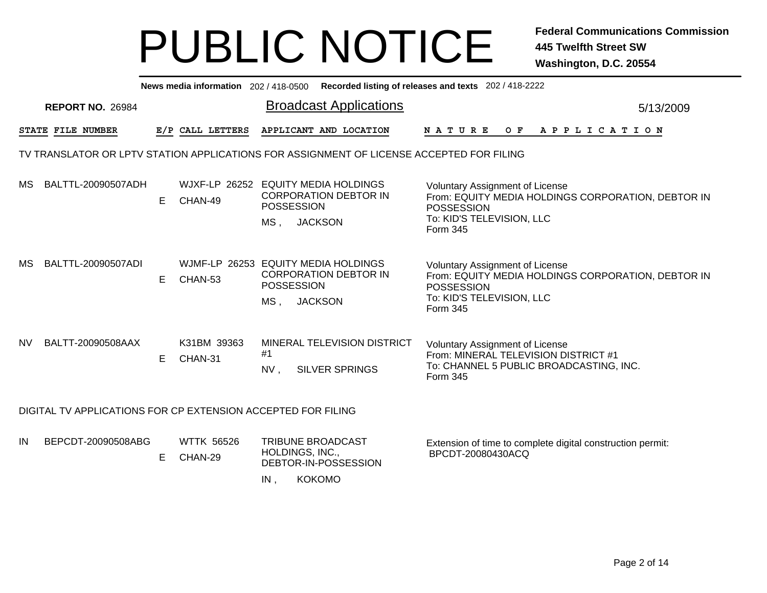|    | News media information 202 / 418-0500 Recorded listing of releases and texts 202 / 418-2222 |                         |    |                                                |                                             |                                                                                          |                                                                                                                                                     |  |  |  |  |  |  |  |
|----|---------------------------------------------------------------------------------------------|-------------------------|----|------------------------------------------------|---------------------------------------------|------------------------------------------------------------------------------------------|-----------------------------------------------------------------------------------------------------------------------------------------------------|--|--|--|--|--|--|--|
|    |                                                                                             | <b>REPORT NO. 26984</b> |    |                                                |                                             | <b>Broadcast Applications</b>                                                            | 5/13/2009                                                                                                                                           |  |  |  |  |  |  |  |
|    | <b>STATE FILE NUMBER</b>                                                                    |                         |    | E/P CALL LETTERS                               |                                             | APPLICANT AND LOCATION                                                                   | <b>NATURE</b><br>O F<br>A P P L I C A T I O N                                                                                                       |  |  |  |  |  |  |  |
|    |                                                                                             |                         |    |                                                |                                             | TV TRANSLATOR OR LPTV STATION APPLICATIONS FOR ASSIGNMENT OF LICENSE ACCEPTED FOR FILING |                                                                                                                                                     |  |  |  |  |  |  |  |
|    |                                                                                             | MS BALTTL-20090507ADH   | E. | WJXF-LP 26252 EQUITY MEDIA HOLDINGS<br>CHAN-49 | <b>POSSESSION</b><br>MS ,                   | <b>CORPORATION DEBTOR IN</b><br><b>JACKSON</b>                                           | <b>Voluntary Assignment of License</b><br>From: EQUITY MEDIA HOLDINGS CORPORATION, DEBTOR IN<br>POSSESSION<br>To: KID'S TELEVISION, LLC<br>Form 345 |  |  |  |  |  |  |  |
| МS |                                                                                             | BALTTL-20090507ADI      | E. | WJMF-LP 26253 EQUITY MEDIA HOLDINGS<br>CHAN-53 | <b>POSSESSION</b><br>MS.                    | <b>CORPORATION DEBTOR IN</b><br><b>JACKSON</b>                                           | Voluntary Assignment of License<br>From: EQUITY MEDIA HOLDINGS CORPORATION, DEBTOR IN<br>POSSESSION<br>To: KID'S TELEVISION, LLC<br>Form 345        |  |  |  |  |  |  |  |
| NV |                                                                                             | BALTT-20090508AAX       | E. | K31BM 39363<br>CHAN-31                         | #1<br>NV <sub>1</sub>                       | MINERAL TELEVISION DISTRICT<br><b>SILVER SPRINGS</b>                                     | <b>Voluntary Assignment of License</b><br>From: MINERAL TELEVISION DISTRICT #1<br>To: CHANNEL 5 PUBLIC BROADCASTING, INC.<br>Form 345               |  |  |  |  |  |  |  |
|    | DIGITAL TV APPLICATIONS FOR CP EXTENSION ACCEPTED FOR FILING                                |                         |    |                                                |                                             |                                                                                          |                                                                                                                                                     |  |  |  |  |  |  |  |
| IN |                                                                                             | BEPCDT-20090508ABG      | E. | <b>WTTK 56526</b><br>CHAN-29                   | TRIBUNE BROADCAST<br>HOLDINGS, INC.,<br>IN, | DEBTOR-IN-POSSESSION<br><b>KOKOMO</b>                                                    | Extension of time to complete digital construction permit:<br>BPCDT-20080430ACQ                                                                     |  |  |  |  |  |  |  |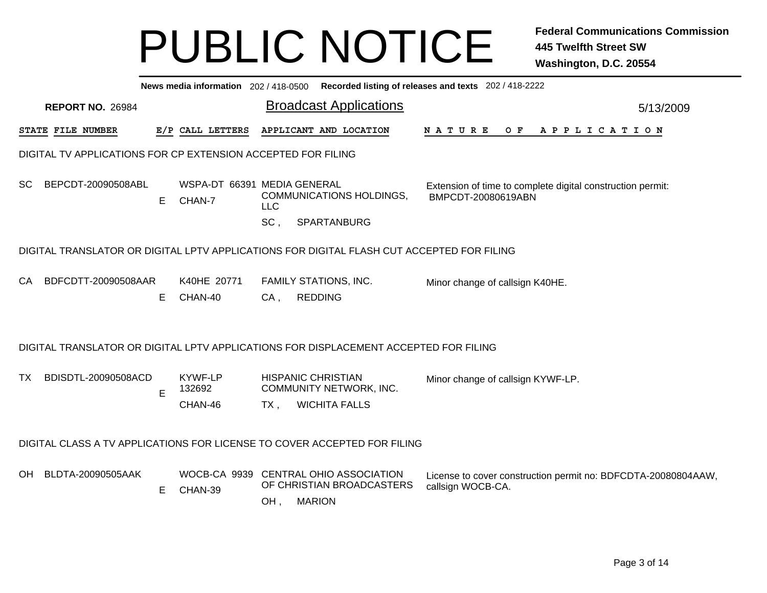|           | News media information 202 / 418-0500 Recorded listing of releases and texts 202 / 418-2222 |                                                              |    |                              |                             |                   |  |                                                                                           |  |                                                                                  |  |  |  |                |  |  |                                                               |  |
|-----------|---------------------------------------------------------------------------------------------|--------------------------------------------------------------|----|------------------------------|-----------------------------|-------------------|--|-------------------------------------------------------------------------------------------|--|----------------------------------------------------------------------------------|--|--|--|----------------|--|--|---------------------------------------------------------------|--|
|           |                                                                                             | <b>REPORT NO. 26984</b>                                      |    |                              |                             |                   |  | <b>Broadcast Applications</b>                                                             |  |                                                                                  |  |  |  |                |  |  | 5/13/2009                                                     |  |
|           |                                                                                             | STATE FILE NUMBER                                            |    | E/P CALL LETTERS             |                             |                   |  | APPLICANT AND LOCATION                                                                    |  | N A T U R E                                                                      |  |  |  | OF APPLICATION |  |  |                                                               |  |
|           |                                                                                             | DIGITAL TV APPLICATIONS FOR CP EXTENSION ACCEPTED FOR FILING |    |                              |                             |                   |  |                                                                                           |  |                                                                                  |  |  |  |                |  |  |                                                               |  |
| <b>SC</b> |                                                                                             | BEPCDT-20090508ABL                                           | E. | CHAN-7                       | WSPA-DT 66391 MEDIA GENERAL | <b>LLC</b><br>SC, |  | <b>COMMUNICATIONS HOLDINGS,</b><br>SPARTANBURG                                            |  | Extension of time to complete digital construction permit:<br>BMPCDT-20080619ABN |  |  |  |                |  |  |                                                               |  |
|           |                                                                                             |                                                              |    |                              |                             |                   |  | DIGITAL TRANSLATOR OR DIGITAL LPTV APPLICATIONS FOR DIGITAL FLASH CUT ACCEPTED FOR FILING |  |                                                                                  |  |  |  |                |  |  |                                                               |  |
| <b>CA</b> |                                                                                             | BDFCDTT-20090508AAR                                          | E. | K40HE 20771<br>CHAN-40       |                             | $CA$ ,            |  | <b>FAMILY STATIONS, INC.</b><br><b>REDDING</b>                                            |  | Minor change of callsign K40HE.                                                  |  |  |  |                |  |  |                                                               |  |
|           |                                                                                             |                                                              |    |                              |                             |                   |  | DIGITAL TRANSLATOR OR DIGITAL LPTV APPLICATIONS FOR DISPLACEMENT ACCEPTED FOR FILING      |  |                                                                                  |  |  |  |                |  |  |                                                               |  |
| ТX        |                                                                                             | BDISDTL-20090508ACD                                          | E  | KYWF-LP<br>132692<br>CHAN-46 |                             | TX.               |  | <b>HISPANIC CHRISTIAN</b><br>COMMUNITY NETWORK, INC.<br><b>WICHITA FALLS</b>              |  | Minor change of callsign KYWF-LP.                                                |  |  |  |                |  |  |                                                               |  |
|           |                                                                                             |                                                              |    |                              |                             |                   |  | DIGITAL CLASS A TV APPLICATIONS FOR LICENSE TO COVER ACCEPTED FOR FILING                  |  |                                                                                  |  |  |  |                |  |  |                                                               |  |
|           |                                                                                             | OH BLDTA-20090505AAK                                         | E  | CHAN-39                      | WOCB-CA 9939                | OH,               |  | <b>CENTRAL OHIO ASSOCIATION</b><br>OF CHRISTIAN BROADCASTERS<br><b>MARION</b>             |  | callsign WOCB-CA.                                                                |  |  |  |                |  |  | License to cover construction permit no: BDFCDTA-20080804AAW, |  |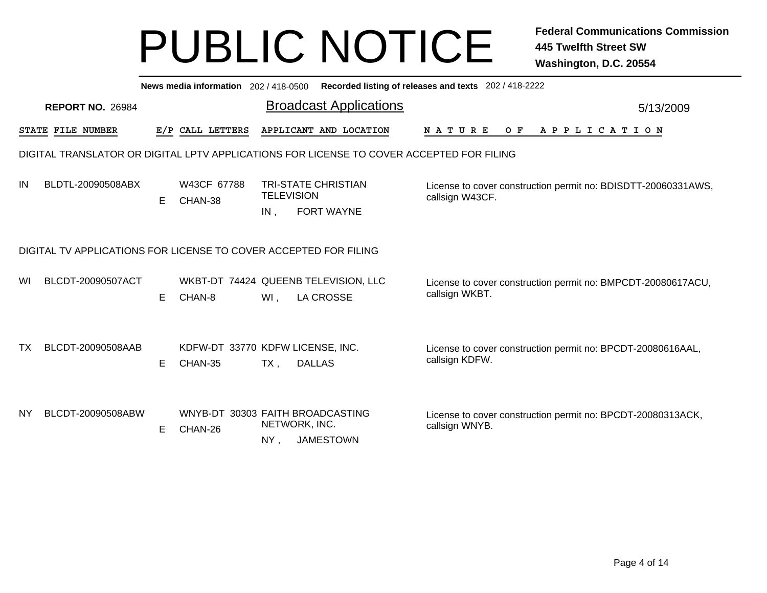|           | News media information 202/418-0500 Recorded listing of releases and texts 202/418-2222 |    |                        |                                                                                          |                                                                                  |           |  |  |  |  |  |  |  |  |
|-----------|-----------------------------------------------------------------------------------------|----|------------------------|------------------------------------------------------------------------------------------|----------------------------------------------------------------------------------|-----------|--|--|--|--|--|--|--|--|
|           | <b>REPORT NO. 26984</b>                                                                 |    |                        | <b>Broadcast Applications</b>                                                            |                                                                                  | 5/13/2009 |  |  |  |  |  |  |  |  |
|           | <b>STATE FILE NUMBER</b>                                                                |    | E/P CALL LETTERS       | APPLICANT AND LOCATION                                                                   | $O$ $F$<br><b>NATURE</b><br>A P P L I C A T I O N                                |           |  |  |  |  |  |  |  |  |
|           |                                                                                         |    |                        | DIGITAL TRANSLATOR OR DIGITAL LPTV APPLICATIONS FOR LICENSE TO COVER ACCEPTED FOR FILING |                                                                                  |           |  |  |  |  |  |  |  |  |
| IN        | BLDTL-20090508ABX                                                                       | E. | W43CF 67788<br>CHAN-38 | <b>TRI-STATE CHRISTIAN</b><br><b>TELEVISION</b><br><b>FORT WAYNE</b><br>IN,              | License to cover construction permit no: BDISDTT-20060331AWS,<br>callsign W43CF. |           |  |  |  |  |  |  |  |  |
|           | DIGITAL TV APPLICATIONS FOR LICENSE TO COVER ACCEPTED FOR FILING                        |    |                        |                                                                                          |                                                                                  |           |  |  |  |  |  |  |  |  |
| WI        | BLCDT-20090507ACT                                                                       | E. | CHAN-8                 | WKBT-DT 74424 QUEENB TELEVISION, LLC<br><b>LA CROSSE</b><br>WI.                          | License to cover construction permit no: BMPCDT-20080617ACU,<br>callsign WKBT.   |           |  |  |  |  |  |  |  |  |
| TX.       | BLCDT-20090508AAB                                                                       | Е  | CHAN-35                | KDFW-DT 33770 KDFW LICENSE, INC.<br><b>DALLAS</b><br>$TX$ ,                              | License to cover construction permit no: BPCDT-20080616AAL,<br>callsign KDFW.    |           |  |  |  |  |  |  |  |  |
| <b>NY</b> | BLCDT-20090508ABW                                                                       | E. | CHAN-26                | WNYB-DT 30303 FAITH BROADCASTING<br>NETWORK, INC.<br><b>JAMESTOWN</b><br>NY,             | License to cover construction permit no: BPCDT-20080313ACK,<br>callsign WNYB.    |           |  |  |  |  |  |  |  |  |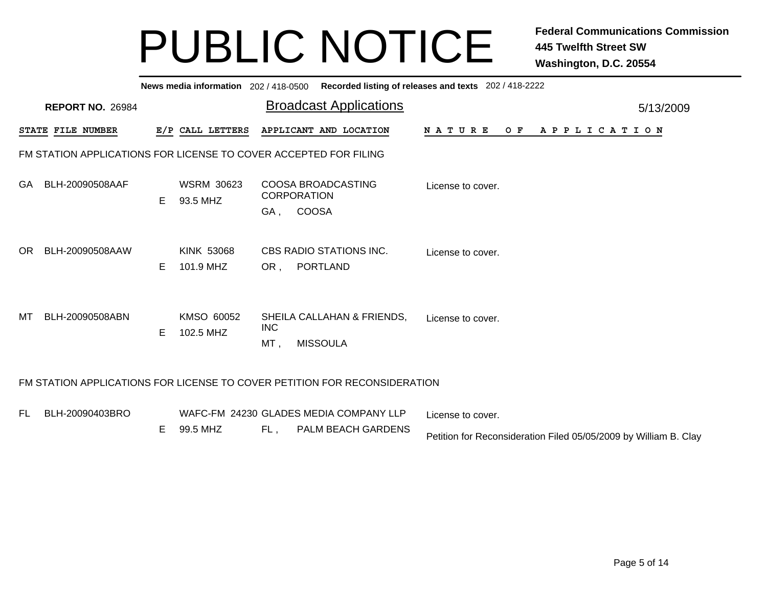|     | News media information 202/418-0500 Recorded listing of releases and texts 202/418-2222 |    |                               |                   |                                                          |                   |     |  |                       |  |  |  |  |           |  |
|-----|-----------------------------------------------------------------------------------------|----|-------------------------------|-------------------|----------------------------------------------------------|-------------------|-----|--|-----------------------|--|--|--|--|-----------|--|
|     | <b>REPORT NO. 26984</b>                                                                 |    |                               |                   | <b>Broadcast Applications</b>                            |                   |     |  |                       |  |  |  |  | 5/13/2009 |  |
|     | STATE FILE NUMBER                                                                       |    | E/P CALL LETTERS              |                   | APPLICANT AND LOCATION                                   | N A T U R E       | O F |  | A P P L I C A T I O N |  |  |  |  |           |  |
|     | FM STATION APPLICATIONS FOR LICENSE TO COVER ACCEPTED FOR FILING                        |    |                               |                   |                                                          |                   |     |  |                       |  |  |  |  |           |  |
| GA. | BLH-20090508AAF                                                                         | E. | <b>WSRM 30623</b><br>93.5 MHZ | GA,               | COOSA BROADCASTING<br><b>CORPORATION</b><br><b>COOSA</b> | License to cover. |     |  |                       |  |  |  |  |           |  |
| OR. | BLH-20090508AAW                                                                         | E. | KINK 53068<br>101.9 MHZ       | OR,               | CBS RADIO STATIONS INC.<br><b>PORTLAND</b>               | License to cover. |     |  |                       |  |  |  |  |           |  |
| МT  | BLH-20090508ABN                                                                         | E. | KMSO 60052<br>102.5 MHZ       | <b>INC</b><br>MT. | SHEILA CALLAHAN & FRIENDS,<br><b>MISSOULA</b>            | License to cover. |     |  |                       |  |  |  |  |           |  |
|     | FM STATION APPLICATIONS FOR LICENSE TO COVER PETITION FOR RECONSIDERATION               |    |                               |                   |                                                          |                   |     |  |                       |  |  |  |  |           |  |
| FL. | BLH-20090403BRO                                                                         |    |                               |                   | WAFC-FM 24230 GLADES MEDIA COMPANY LLP                   | License to cover. |     |  |                       |  |  |  |  |           |  |

 $FL,$  , PALM BEACH GARDENS E 99.5 MHZ

Petition for Reconsideration Filed 05/05/2009 by William B. Clay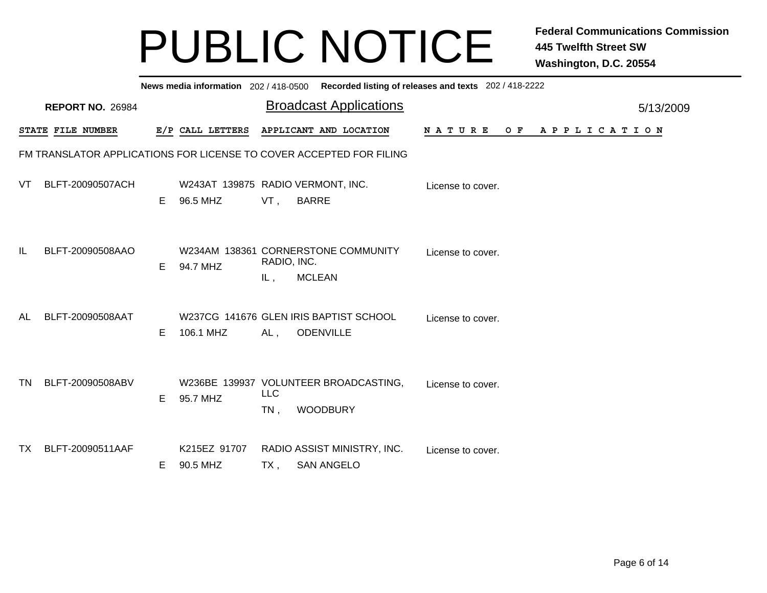|     | News media information 202/418-0500 Recorded listing of releases and texts 202/418-2222 |    |                                               |                      |                                                                     |                   |  |                |  |  |  |  |  |
|-----|-----------------------------------------------------------------------------------------|----|-----------------------------------------------|----------------------|---------------------------------------------------------------------|-------------------|--|----------------|--|--|--|--|--|
|     | <b>REPORT NO. 26984</b>                                                                 |    |                                               |                      | <b>Broadcast Applications</b>                                       |                   |  | 5/13/2009      |  |  |  |  |  |
|     | STATE FILE NUMBER                                                                       |    | E/P CALL LETTERS                              |                      | APPLICANT AND LOCATION                                              | <b>NATURE</b>     |  | OF APPLICATION |  |  |  |  |  |
|     |                                                                                         |    |                                               |                      | FM TRANSLATOR APPLICATIONS FOR LICENSE TO COVER ACCEPTED FOR FILING |                   |  |                |  |  |  |  |  |
| VT. | BLFT-20090507ACH                                                                        | E  | W243AT 139875 RADIO VERMONT, INC.<br>96.5 MHZ | VT,                  | <b>BARRE</b>                                                        | License to cover. |  |                |  |  |  |  |  |
| IL. | BLFT-20090508AAO                                                                        | E. | 94.7 MHZ                                      | RADIO, INC.<br>IL,   | W234AM 138361 CORNERSTONE COMMUNITY<br><b>MCLEAN</b>                | License to cover. |  |                |  |  |  |  |  |
| AL  | BLFT-20090508AAT                                                                        | E. | 106.1 MHZ                                     | AL,                  | W237CG 141676 GLEN IRIS BAPTIST SCHOOL<br><b>ODENVILLE</b>          | License to cover. |  |                |  |  |  |  |  |
| TN. | BLFT-20090508ABV                                                                        | Е  | 95.7 MHZ                                      | <b>LLC</b><br>$TN$ , | W236BE 139937 VOLUNTEER BROADCASTING,<br><b>WOODBURY</b>            | License to cover. |  |                |  |  |  |  |  |
| TX. | BLFT-20090511AAF                                                                        | E. | K215EZ 91707<br>90.5 MHZ                      | TX,                  | RADIO ASSIST MINISTRY, INC.<br><b>SAN ANGELO</b>                    | License to cover. |  |                |  |  |  |  |  |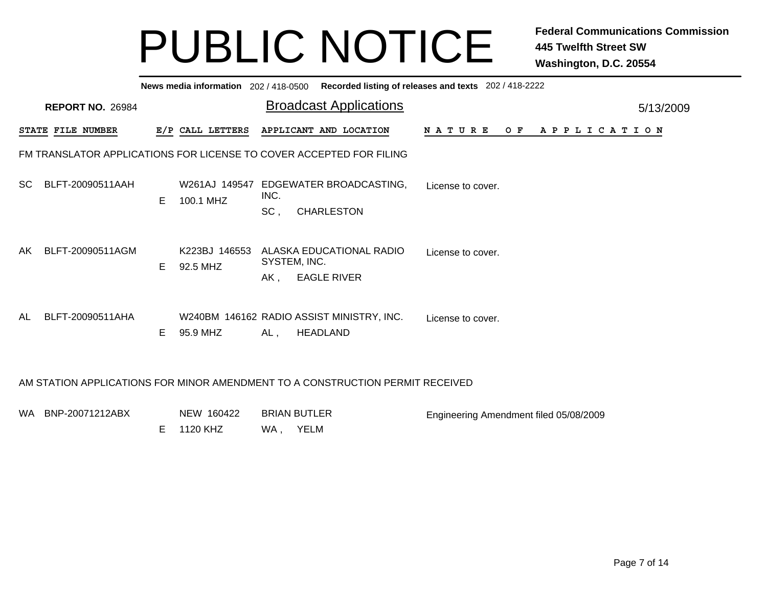|     | News media information 202 / 418-0500 Recorded listing of releases and texts 202 / 418-2222 |    |                           |                         |                                                                |                                        |     |                       |           |  |  |  |  |
|-----|---------------------------------------------------------------------------------------------|----|---------------------------|-------------------------|----------------------------------------------------------------|----------------------------------------|-----|-----------------------|-----------|--|--|--|--|
|     | <b>REPORT NO. 26984</b>                                                                     |    |                           |                         | <b>Broadcast Applications</b>                                  |                                        |     |                       | 5/13/2009 |  |  |  |  |
|     | STATE FILE NUMBER                                                                           |    | E/P CALL LETTERS          |                         | APPLICANT AND LOCATION                                         | <b>NATURE</b>                          | O F | A P P L I C A T I O N |           |  |  |  |  |
|     | FM TRANSLATOR APPLICATIONS FOR LICENSE TO COVER ACCEPTED FOR FILING                         |    |                           |                         |                                                                |                                        |     |                       |           |  |  |  |  |
| SC. | BLFT-20090511AAH                                                                            | E. | 100.1 MHZ                 | INC.<br>SC <sub>1</sub> | W261AJ 149547 EDGEWATER BROADCASTING,<br><b>CHARLESTON</b>     | License to cover.                      |     |                       |           |  |  |  |  |
| AK. | BLFT-20090511AGM                                                                            | E. | K223BJ 146553<br>92.5 MHZ | AK,                     | ALASKA EDUCATIONAL RADIO<br>SYSTEM, INC.<br><b>EAGLE RIVER</b> | License to cover.                      |     |                       |           |  |  |  |  |
| AL. | BLFT-20090511AHA                                                                            | E. | 95.9 MHZ                  | AL,                     | W240BM 146162 RADIO ASSIST MINISTRY, INC.<br>HEADLAND          | License to cover.                      |     |                       |           |  |  |  |  |
|     | AM STATION APPLICATIONS FOR MINOR AMENDMENT TO A CONSTRUCTION PERMIT RECEIVED               |    |                           |                         |                                                                |                                        |     |                       |           |  |  |  |  |
|     | WA BNP-20071212ABX                                                                          |    | NEW 160422                |                         | <b>BRIAN BUTLER</b>                                            | Engineering Amendment filed 05/08/2009 |     |                       |           |  |  |  |  |

WA , YELM E 1120 KHZ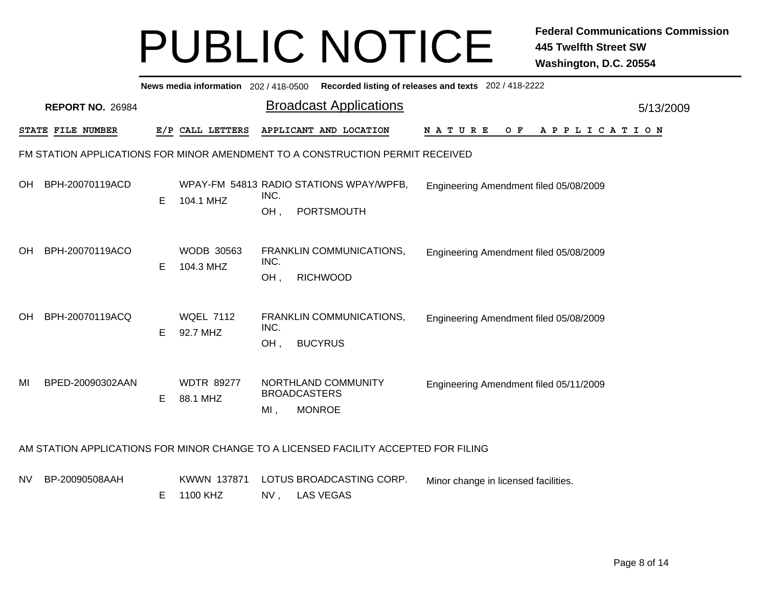|                                                                       | News media information 202/418-0500 Recorded listing of releases and texts 202/418-2222                          |    |                               |                            |                                                              |  |  |  |  |  |  |  |  |                                        |  |  |  |  |
|-----------------------------------------------------------------------|------------------------------------------------------------------------------------------------------------------|----|-------------------------------|----------------------------|--------------------------------------------------------------|--|--|--|--|--|--|--|--|----------------------------------------|--|--|--|--|
| <b>Broadcast Applications</b><br><b>REPORT NO. 26984</b><br>5/13/2009 |                                                                                                                  |    |                               |                            |                                                              |  |  |  |  |  |  |  |  |                                        |  |  |  |  |
|                                                                       | E/P CALL LETTERS<br>APPLICANT AND LOCATION<br>O F<br>STATE FILE NUMBER<br><b>NATURE</b><br>A P P L I C A T I O N |    |                               |                            |                                                              |  |  |  |  |  |  |  |  |                                        |  |  |  |  |
|                                                                       | FM STATION APPLICATIONS FOR MINOR AMENDMENT TO A CONSTRUCTION PERMIT RECEIVED                                    |    |                               |                            |                                                              |  |  |  |  |  |  |  |  |                                        |  |  |  |  |
| OH.                                                                   | BPH-20070119ACD                                                                                                  | Е  | 104.1 MHZ                     | INC.<br>OH,                | WPAY-FM 54813 RADIO STATIONS WPAY/WPFB,<br><b>PORTSMOUTH</b> |  |  |  |  |  |  |  |  | Engineering Amendment filed 05/08/2009 |  |  |  |  |
| <b>OH</b>                                                             | BPH-20070119ACO                                                                                                  | E. | WODB 30563<br>104.3 MHZ       | INC.<br>OH,                | FRANKLIN COMMUNICATIONS,<br><b>RICHWOOD</b>                  |  |  |  |  |  |  |  |  | Engineering Amendment filed 05/08/2009 |  |  |  |  |
| OH.                                                                   | BPH-20070119ACQ                                                                                                  | E  | <b>WQEL 7112</b><br>92.7 MHZ  | INC.<br>OH,                | FRANKLIN COMMUNICATIONS,<br><b>BUCYRUS</b>                   |  |  |  |  |  |  |  |  | Engineering Amendment filed 05/08/2009 |  |  |  |  |
| MI                                                                    | BPED-20090302AAN                                                                                                 | E  | <b>WDTR 89277</b><br>88.1 MHZ | <b>BROADCASTERS</b><br>MI, | NORTHLAND COMMUNITY<br><b>MONROE</b>                         |  |  |  |  |  |  |  |  | Engineering Amendment filed 05/11/2009 |  |  |  |  |
|                                                                       | AM STATION APPLICATIONS FOR MINOR CHANGE TO A LICENSED FACILITY ACCEPTED FOR FILING                              |    |                               |                            |                                                              |  |  |  |  |  |  |  |  |                                        |  |  |  |  |

- NVBP-20090508AAH KWWN 137871 LOTUS BROADCASTING CORP. Minor change in licensed facilities.
	- NV , LAS VEGAS E 1100 KHZ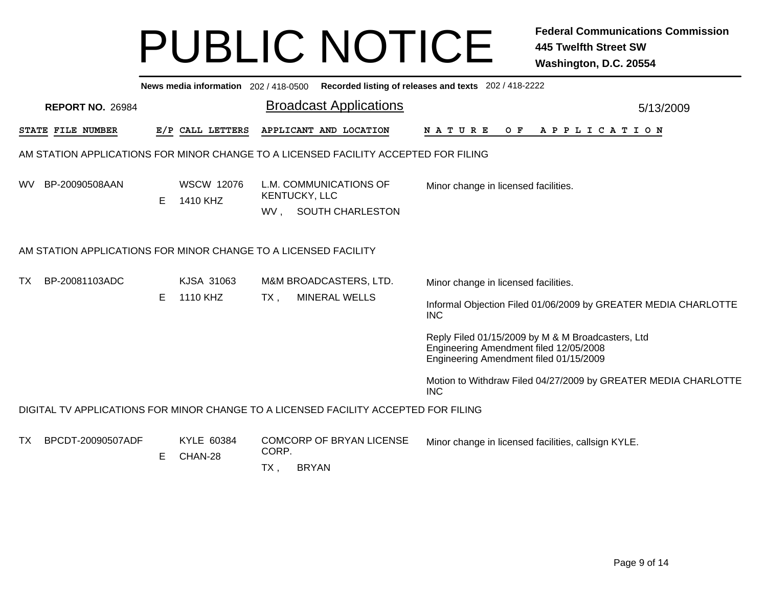|           | News media information 202 / 418-0500 Recorded listing of releases and texts 202 / 418-2222 |                                                                              |                               |                                                                                     |                                                                                                                                       |  |  |  |  |  |  |  |  |  |
|-----------|---------------------------------------------------------------------------------------------|------------------------------------------------------------------------------|-------------------------------|-------------------------------------------------------------------------------------|---------------------------------------------------------------------------------------------------------------------------------------|--|--|--|--|--|--|--|--|--|
|           | <b>REPORT NO. 26984</b>                                                                     |                                                                              |                               | <b>Broadcast Applications</b>                                                       | 5/13/2009                                                                                                                             |  |  |  |  |  |  |  |  |  |
|           | STATE FILE NUMBER                                                                           |                                                                              | E/P CALL LETTERS              | APPLICANT AND LOCATION                                                              | <b>NATURE</b><br>APPLICATION<br>O F                                                                                                   |  |  |  |  |  |  |  |  |  |
|           |                                                                                             |                                                                              |                               | AM STATION APPLICATIONS FOR MINOR CHANGE TO A LICENSED FACILITY ACCEPTED FOR FILING |                                                                                                                                       |  |  |  |  |  |  |  |  |  |
| <b>WV</b> | BP-20090508AAN                                                                              | E                                                                            | <b>WSCW 12076</b><br>1410 KHZ | L.M. COMMUNICATIONS OF<br>KENTUCKY, LLC<br>SOUTH CHARLESTON<br>WV.                  | Minor change in licensed facilities.                                                                                                  |  |  |  |  |  |  |  |  |  |
|           |                                                                                             |                                                                              |                               | AM STATION APPLICATIONS FOR MINOR CHANGE TO A LICENSED FACILITY                     |                                                                                                                                       |  |  |  |  |  |  |  |  |  |
| TX        | BP-20081103ADC                                                                              | KJSA 31063<br>M&M BROADCASTERS, LTD.<br>Minor change in licensed facilities. |                               |                                                                                     |                                                                                                                                       |  |  |  |  |  |  |  |  |  |
|           |                                                                                             | Е                                                                            | 1110 KHZ                      | <b>MINERAL WELLS</b><br>$TX$ ,                                                      | Informal Objection Filed 01/06/2009 by GREATER MEDIA CHARLOTTE<br><b>INC</b>                                                          |  |  |  |  |  |  |  |  |  |
|           |                                                                                             |                                                                              |                               |                                                                                     | Reply Filed 01/15/2009 by M & M Broadcasters, Ltd<br>Engineering Amendment filed 12/05/2008<br>Engineering Amendment filed 01/15/2009 |  |  |  |  |  |  |  |  |  |
|           |                                                                                             |                                                                              |                               |                                                                                     | Motion to Withdraw Filed 04/27/2009 by GREATER MEDIA CHARLOTTE<br><b>INC</b>                                                          |  |  |  |  |  |  |  |  |  |
|           |                                                                                             |                                                                              |                               | DIGITAL TV APPLICATIONS FOR MINOR CHANGE TO A LICENSED FACILITY ACCEPTED FOR FILING |                                                                                                                                       |  |  |  |  |  |  |  |  |  |
| TX        | BPCDT-20090507ADF                                                                           | Е                                                                            | KYLE 60384<br>CHAN-28         | <b>COMCORP OF BRYAN LICENSE</b><br>CORP.<br><b>BRYAN</b><br>TX,                     | Minor change in licensed facilities, callsign KYLE.                                                                                   |  |  |  |  |  |  |  |  |  |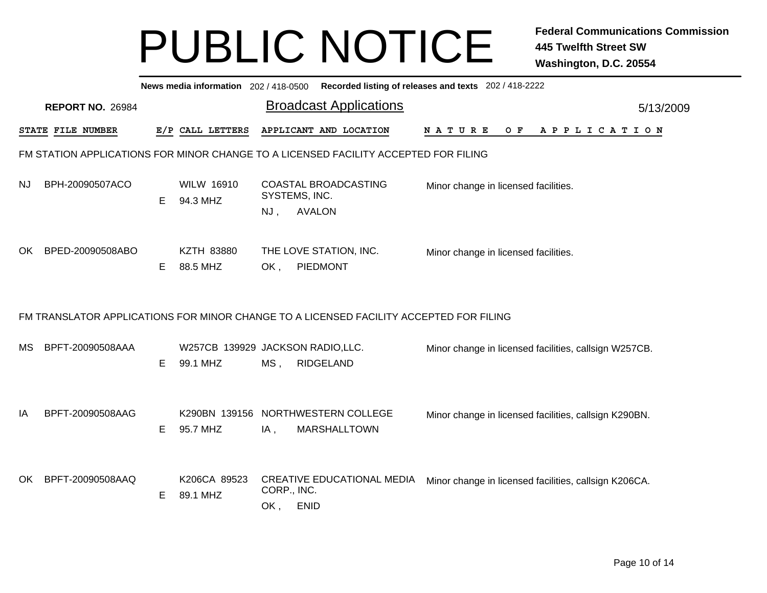|     | Recorded listing of releases and texts 202 / 418-2222<br>News media information 202 / 418-0500 |    |                                              |                    |                                                           |  |                                                       |  |  |     |  |  |  |  |                       |  |           |
|-----|------------------------------------------------------------------------------------------------|----|----------------------------------------------|--------------------|-----------------------------------------------------------|--|-------------------------------------------------------|--|--|-----|--|--|--|--|-----------------------|--|-----------|
|     | <b>REPORT NO. 26984</b>                                                                        |    |                                              |                    | <b>Broadcast Applications</b>                             |  |                                                       |  |  |     |  |  |  |  |                       |  | 5/13/2009 |
|     | STATE FILE NUMBER                                                                              |    | E/P CALL LETTERS                             |                    | APPLICANT AND LOCATION                                    |  | NATURE                                                |  |  | O F |  |  |  |  | A P P L I C A T I O N |  |           |
|     | FM STATION APPLICATIONS FOR MINOR CHANGE TO A LICENSED FACILITY ACCEPTED FOR FILING            |    |                                              |                    |                                                           |  |                                                       |  |  |     |  |  |  |  |                       |  |           |
| NJ. | BPH-20090507ACO                                                                                | E. | <b>WILW 16910</b><br>94.3 MHZ                | NJ,                | COASTAL BROADCASTING<br>SYSTEMS, INC.<br><b>AVALON</b>    |  | Minor change in licensed facilities.                  |  |  |     |  |  |  |  |                       |  |           |
| OK. | BPED-20090508ABO                                                                               | E  | <b>KZTH 83880</b><br>88.5 MHZ                | OK,                | THE LOVE STATION, INC.<br>PIEDMONT                        |  | Minor change in licensed facilities.                  |  |  |     |  |  |  |  |                       |  |           |
|     | FM TRANSLATOR APPLICATIONS FOR MINOR CHANGE TO A LICENSED FACILITY ACCEPTED FOR FILING         |    |                                              |                    |                                                           |  |                                                       |  |  |     |  |  |  |  |                       |  |           |
| MS  | BPFT-20090508AAA                                                                               | Е  | W257CB 139929 JACKSON RADIO,LLC.<br>99.1 MHZ | $MS$ ,             | <b>RIDGELAND</b>                                          |  | Minor change in licensed facilities, callsign W257CB. |  |  |     |  |  |  |  |                       |  |           |
| IA  | BPFT-20090508AAG                                                                               | E. | 95.7 MHZ                                     | IA,                | K290BN 139156 NORTHWESTERN COLLEGE<br><b>MARSHALLTOWN</b> |  | Minor change in licensed facilities, callsign K290BN. |  |  |     |  |  |  |  |                       |  |           |
| OK. | BPFT-20090508AAQ                                                                               | E  | K206CA 89523<br>89.1 MHZ                     | CORP., INC.<br>OK, | <b>CREATIVE EDUCATIONAL MEDIA</b><br><b>ENID</b>          |  | Minor change in licensed facilities, callsign K206CA. |  |  |     |  |  |  |  |                       |  |           |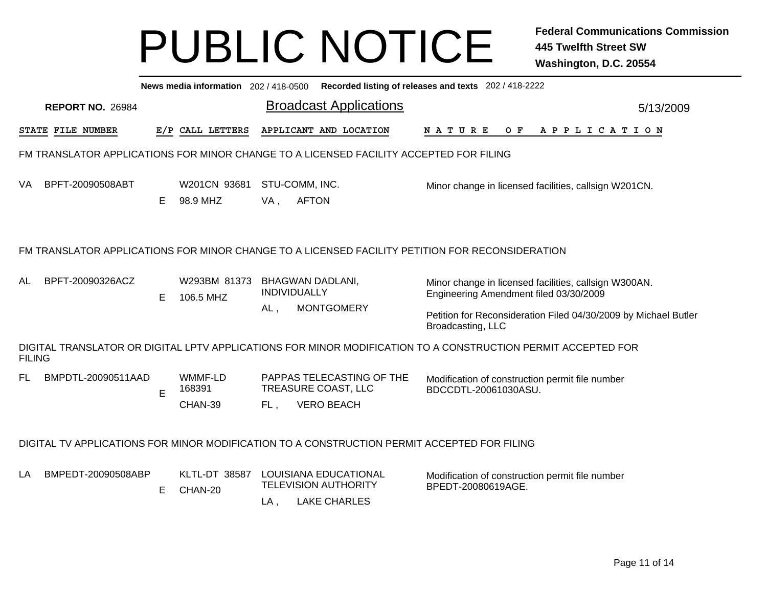|                                                                                                                                                                                                                                                                                                                                   | Recorded listing of releases and texts 202 / 418-2222<br>News media information 202 / 418-0500  |                                                                         |                          |        |                                                                                             |                                                                                                              |  |  |  |  |  |  |  |  |
|-----------------------------------------------------------------------------------------------------------------------------------------------------------------------------------------------------------------------------------------------------------------------------------------------------------------------------------|-------------------------------------------------------------------------------------------------|-------------------------------------------------------------------------|--------------------------|--------|---------------------------------------------------------------------------------------------|--------------------------------------------------------------------------------------------------------------|--|--|--|--|--|--|--|--|
| <b>Broadcast Applications</b><br><b>REPORT NO. 26984</b><br>5/13/2009                                                                                                                                                                                                                                                             |                                                                                                 |                                                                         |                          |        |                                                                                             |                                                                                                              |  |  |  |  |  |  |  |  |
|                                                                                                                                                                                                                                                                                                                                   | STATE FILE NUMBER                                                                               |                                                                         | E/P CALL LETTERS         |        | APPLICANT AND LOCATION                                                                      | N A T U R E<br>O F<br>A P P L I C A T I O N                                                                  |  |  |  |  |  |  |  |  |
|                                                                                                                                                                                                                                                                                                                                   |                                                                                                 |                                                                         |                          |        | FM TRANSLATOR APPLICATIONS FOR MINOR CHANGE TO A LICENSED FACILITY ACCEPTED FOR FILING      |                                                                                                              |  |  |  |  |  |  |  |  |
| VA                                                                                                                                                                                                                                                                                                                                | BPFT-20090508ABT                                                                                | Е                                                                       | W201CN 93681<br>98.9 MHZ | VA,    | STU-COMM, INC.<br><b>AFTON</b>                                                              | Minor change in licensed facilities, callsign W201CN.                                                        |  |  |  |  |  |  |  |  |
|                                                                                                                                                                                                                                                                                                                                   | FM TRANSLATOR APPLICATIONS FOR MINOR CHANGE TO A LICENSED FACILITY PETITION FOR RECONSIDERATION |                                                                         |                          |        |                                                                                             |                                                                                                              |  |  |  |  |  |  |  |  |
| BPFT-20090326ACZ<br>W293BM 81373<br>AL<br><b>BHAGWAN DADLANI,</b><br>Minor change in licensed facilities, callsign W300AN.<br><b>INDIVIDUALLY</b><br>Engineering Amendment filed 03/30/2009<br>E<br>106.5 MHZ<br><b>MONTGOMERY</b><br>AL,<br>Petition for Reconsideration Filed 04/30/2009 by Michael Butler<br>Broadcasting, LLC |                                                                                                 |                                                                         |                          |        |                                                                                             |                                                                                                              |  |  |  |  |  |  |  |  |
| <b>FILING</b>                                                                                                                                                                                                                                                                                                                     |                                                                                                 |                                                                         |                          |        |                                                                                             | DIGITAL TRANSLATOR OR DIGITAL LPTV APPLICATIONS FOR MINOR MODIFICATION TO A CONSTRUCTION PERMIT ACCEPTED FOR |  |  |  |  |  |  |  |  |
| FL                                                                                                                                                                                                                                                                                                                                | BMPDTL-20090511AAD                                                                              | Modification of construction permit file number<br>BDCCDTL-20061030ASU. |                          |        |                                                                                             |                                                                                                              |  |  |  |  |  |  |  |  |
|                                                                                                                                                                                                                                                                                                                                   |                                                                                                 |                                                                         |                          |        | DIGITAL TV APPLICATIONS FOR MINOR MODIFICATION TO A CONSTRUCTION PERMIT ACCEPTED FOR FILING |                                                                                                              |  |  |  |  |  |  |  |  |
| LA                                                                                                                                                                                                                                                                                                                                | BMPEDT-20090508ABP                                                                              | Е                                                                       | KLTL-DT 38587<br>CHAN-20 | $LA$ , | LOUISIANA EDUCATIONAL<br><b>TELEVISION AUTHORITY</b><br><b>LAKE CHARLES</b>                 | Modification of construction permit file number<br>BPEDT-20080619AGE.                                        |  |  |  |  |  |  |  |  |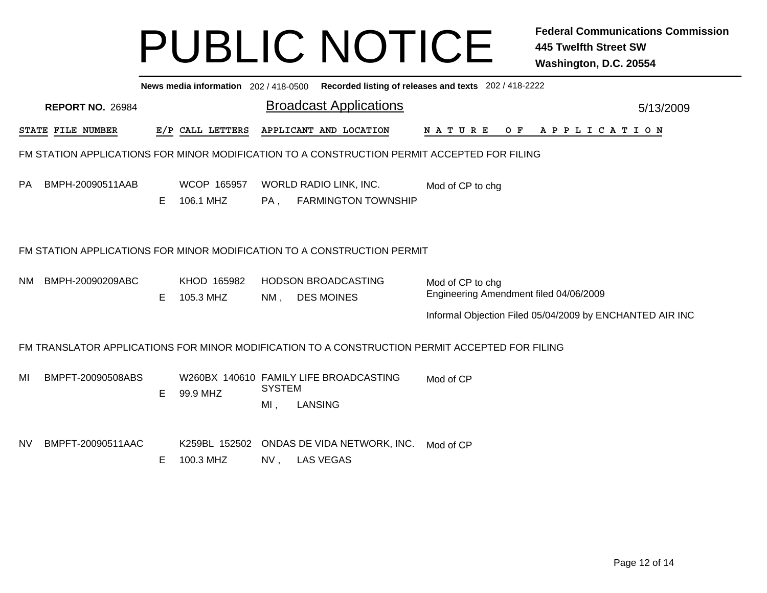|           | News media information 202 / 418-0500 Recorded listing of releases and texts 202 / 418-2222 |    |                            |                         |                                                                                             |                                                                                                |           |  |  |  |  |  |  |  |
|-----------|---------------------------------------------------------------------------------------------|----|----------------------------|-------------------------|---------------------------------------------------------------------------------------------|------------------------------------------------------------------------------------------------|-----------|--|--|--|--|--|--|--|
|           | <b>REPORT NO. 26984</b>                                                                     |    |                            |                         | <b>Broadcast Applications</b>                                                               |                                                                                                | 5/13/2009 |  |  |  |  |  |  |  |
|           | STATE FILE NUMBER                                                                           |    | E/P CALL LETTERS           |                         | APPLICANT AND LOCATION                                                                      | N A T U R E<br>OF APPLICATION                                                                  |           |  |  |  |  |  |  |  |
|           |                                                                                             |    |                            |                         | FM STATION APPLICATIONS FOR MINOR MODIFICATION TO A CONSTRUCTION PERMIT ACCEPTED FOR FILING |                                                                                                |           |  |  |  |  |  |  |  |
| <b>PA</b> | BMPH-20090511AAB                                                                            | Е  | WCOP 165957<br>106.1 MHZ   | PA,                     | WORLD RADIO LINK, INC.<br><b>FARMINGTON TOWNSHIP</b>                                        | Mod of CP to chg                                                                               |           |  |  |  |  |  |  |  |
|           | FM STATION APPLICATIONS FOR MINOR MODIFICATION TO A CONSTRUCTION PERMIT                     |    |                            |                         |                                                                                             |                                                                                                |           |  |  |  |  |  |  |  |
| NM.       | BMPH-20090209ABC                                                                            | E. | KHOD 165982<br>105.3 MHZ   | NM,                     | <b>HODSON BROADCASTING</b><br><b>DES MOINES</b>                                             | Mod of CP to chg<br>Engineering Amendment filed 04/06/2009                                     |           |  |  |  |  |  |  |  |
|           |                                                                                             |    |                            |                         |                                                                                             | Informal Objection Filed 05/04/2009 by ENCHANTED AIR INC                                       |           |  |  |  |  |  |  |  |
|           |                                                                                             |    |                            |                         |                                                                                             | FM TRANSLATOR APPLICATIONS FOR MINOR MODIFICATION TO A CONSTRUCTION PERMIT ACCEPTED FOR FILING |           |  |  |  |  |  |  |  |
| MI        | BMPFT-20090508ABS                                                                           | Е  | 99.9 MHZ                   | <b>SYSTEM</b><br>$MI$ , | W260BX 140610 FAMILY LIFE BROADCASTING<br><b>LANSING</b>                                    | Mod of CP                                                                                      |           |  |  |  |  |  |  |  |
| NV.       | BMPFT-20090511AAC                                                                           | Е  | K259BL 152502<br>100.3 MHZ | NV,                     | ONDAS DE VIDA NETWORK, INC.<br><b>LAS VEGAS</b>                                             | Mod of CP                                                                                      |           |  |  |  |  |  |  |  |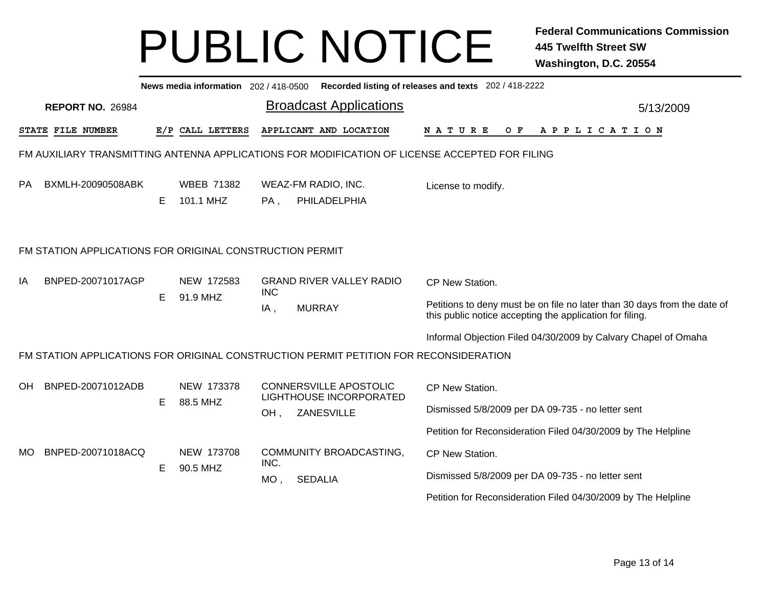| Recorded listing of releases and texts 202 / 418-2222<br>News media information 202 / 418-0500 |    |                                |                   |                                                          |                                                                                                                                      |           |  |  |  |
|------------------------------------------------------------------------------------------------|----|--------------------------------|-------------------|----------------------------------------------------------|--------------------------------------------------------------------------------------------------------------------------------------|-----------|--|--|--|
| <b>REPORT NO. 26984</b>                                                                        |    |                                |                   | <b>Broadcast Applications</b>                            |                                                                                                                                      | 5/13/2009 |  |  |  |
| STATE FILE NUMBER                                                                              |    | E/P CALL LETTERS               |                   | APPLICANT AND LOCATION                                   | N A T U R E<br>O F<br>A P P L I C A T I O N                                                                                          |           |  |  |  |
| FM AUXILIARY TRANSMITTING ANTENNA APPLICATIONS FOR MODIFICATION OF LICENSE ACCEPTED FOR FILING |    |                                |                   |                                                          |                                                                                                                                      |           |  |  |  |
| PA<br>BXMLH-20090508ABK                                                                        | E. | <b>WBEB 71382</b><br>101.1 MHZ | PA,               | WEAZ-FM RADIO, INC.<br>PHILADELPHIA                      | License to modify.                                                                                                                   |           |  |  |  |
| FM STATION APPLICATIONS FOR ORIGINAL CONSTRUCTION PERMIT                                       |    |                                |                   |                                                          |                                                                                                                                      |           |  |  |  |
| IA<br>BNPED-20071017AGP                                                                        | E. | NEW 172583<br>91.9 MHZ         | <b>INC</b><br>IA, | <b>GRAND RIVER VALLEY RADIO</b>                          | CP New Station.                                                                                                                      |           |  |  |  |
|                                                                                                |    |                                |                   | <b>MURRAY</b>                                            | Petitions to deny must be on file no later than 30 days from the date of<br>this public notice accepting the application for filing. |           |  |  |  |
|                                                                                                |    |                                |                   |                                                          | Informal Objection Filed 04/30/2009 by Calvary Chapel of Omaha                                                                       |           |  |  |  |
| FM STATION APPLICATIONS FOR ORIGINAL CONSTRUCTION PERMIT PETITION FOR RECONSIDERATION          |    |                                |                   |                                                          |                                                                                                                                      |           |  |  |  |
| OH<br>BNPED-20071012ADB                                                                        |    | NEW 173378<br>88.5 MHZ         |                   | <b>CONNERSVILLE APOSTOLIC</b><br>LIGHTHOUSE INCORPORATED | CP New Station.                                                                                                                      |           |  |  |  |
|                                                                                                | E  |                                | OH,               | ZANESVILLE                                               | Dismissed 5/8/2009 per DA 09-735 - no letter sent                                                                                    |           |  |  |  |
|                                                                                                |    |                                |                   |                                                          | Petition for Reconsideration Filed 04/30/2009 by The Helpline                                                                        |           |  |  |  |
| BNPED-20071018ACQ<br>MO.                                                                       |    | NEW 173708<br>90.5 MHZ         | INC.              | COMMUNITY BROADCASTING,                                  | CP New Station.                                                                                                                      |           |  |  |  |
|                                                                                                | E  |                                | $MO$ ,            | <b>SEDALIA</b>                                           | Dismissed 5/8/2009 per DA 09-735 - no letter sent                                                                                    |           |  |  |  |
|                                                                                                |    |                                |                   |                                                          | Petition for Reconsideration Filed 04/30/2009 by The Helpline                                                                        |           |  |  |  |